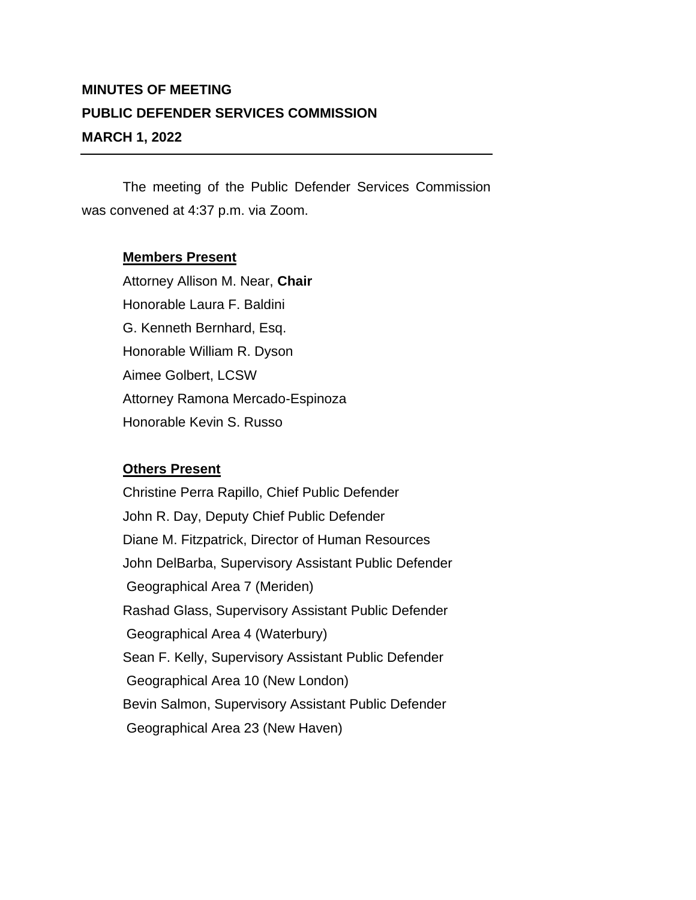## **MINUTES OF MEETING PUBLIC DEFENDER SERVICES COMMISSION MARCH 1, 2022**

The meeting of the Public Defender Services Commission was convened at 4:37 p.m. via Zoom.

## **Members Present**

Attorney Allison M. Near, **Chair** Honorable Laura F. Baldini G. Kenneth Bernhard, Esq. Honorable William R. Dyson Aimee Golbert, LCSW Attorney Ramona Mercado-Espinoza Honorable Kevin S. Russo

## **Others Present**

Christine Perra Rapillo, Chief Public Defender John R. Day, Deputy Chief Public Defender Diane M. Fitzpatrick, Director of Human Resources John DelBarba, Supervisory Assistant Public Defender Geographical Area 7 (Meriden) Rashad Glass, Supervisory Assistant Public Defender Geographical Area 4 (Waterbury) Sean F. Kelly, Supervisory Assistant Public Defender Geographical Area 10 (New London) Bevin Salmon, Supervisory Assistant Public Defender Geographical Area 23 (New Haven)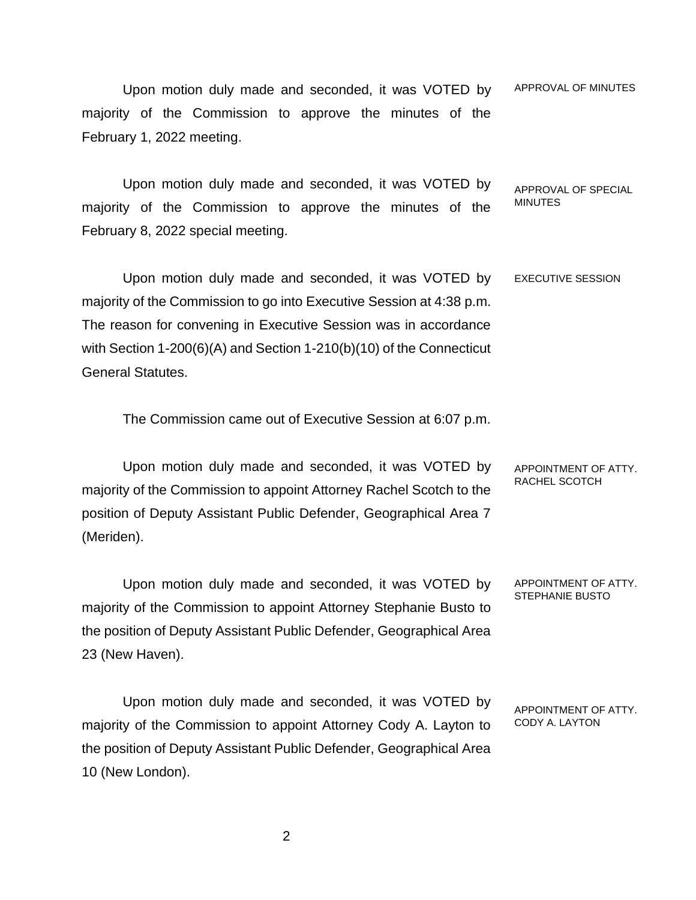Upon motion duly made and seconded, it was VOTED by majority of the Commission to approve the minutes of the February 1, 2022 meeting. APPROVAL OF MINUTES

Upon motion duly made and seconded, it was VOTED by majority of the Commission to approve the minutes of the February 8, 2022 special meeting. APPROVAL OF SPECIAL **MINUTES** 

Upon motion duly made and seconded, it was VOTED by majority of the Commission to go into Executive Session at 4:38 p.m. The reason for convening in Executive Session was in accordance with Section 1-200(6)(A) and Section 1-210(b)(10) of the Connecticut General Statutes. EXECUTIVE SESSION

The Commission came out of Executive Session at 6:07 p.m.

Upon motion duly made and seconded, it was VOTED by majority of the Commission to appoint Attorney Rachel Scotch to the position of Deputy Assistant Public Defender, Geographical Area 7 (Meriden). APPOINTMENT OF ATTY. RACHEL SCOTCH

Upon motion duly made and seconded, it was VOTED by majority of the Commission to appoint Attorney Stephanie Busto to the position of Deputy Assistant Public Defender, Geographical Area 23 (New Haven). APPOINTMENT OF ATTY. STEPHANIE BUSTO

Upon motion duly made and seconded, it was VOTED by majority of the Commission to appoint Attorney Cody A. Layton to the position of Deputy Assistant Public Defender, Geographical Area 10 (New London).

APPOINTMENT OF ATTY.

CODY A. LAYTON

2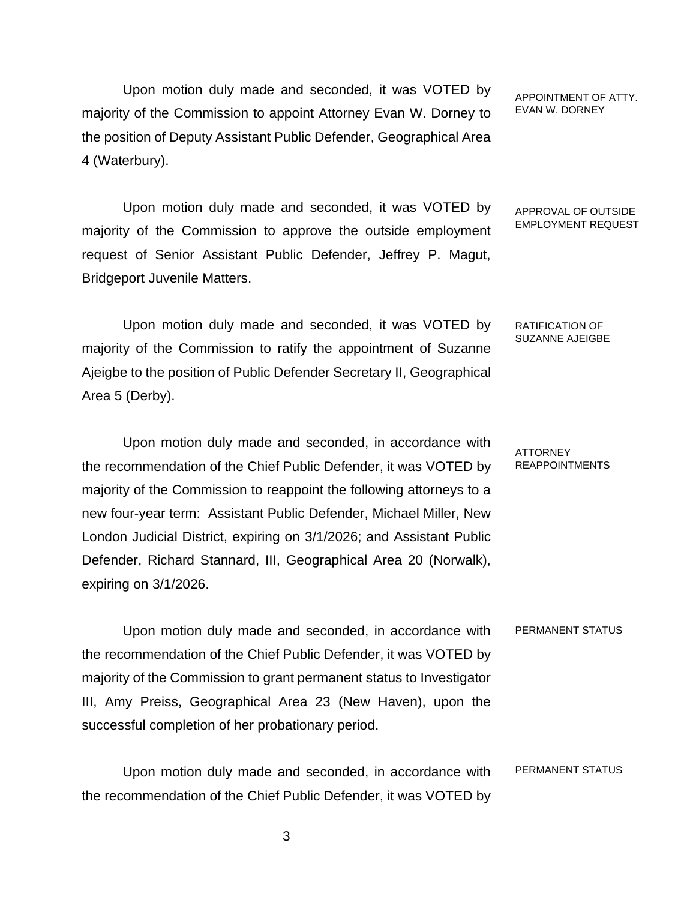Upon motion duly made and seconded, it was VOTED by majority of the Commission to appoint Attorney Evan W. Dorney to the position of Deputy Assistant Public Defender, Geographical Area 4 (Waterbury).

Upon motion duly made and seconded, it was VOTED by majority of the Commission to approve the outside employment request of Senior Assistant Public Defender, Jeffrey P. Magut, Bridgeport Juvenile Matters.

Upon motion duly made and seconded, it was VOTED by majority of the Commission to ratify the appointment of Suzanne Ajeigbe to the position of Public Defender Secretary II, Geographical Area 5 (Derby).

Upon motion duly made and seconded, in accordance with the recommendation of the Chief Public Defender, it was VOTED by majority of the Commission to reappoint the following attorneys to a new four-year term: Assistant Public Defender, Michael Miller, New London Judicial District, expiring on 3/1/2026; and Assistant Public Defender, Richard Stannard, III, Geographical Area 20 (Norwalk), expiring on 3/1/2026.

Upon motion duly made and seconded, in accordance with the recommendation of the Chief Public Defender, it was VOTED by majority of the Commission to grant permanent status to Investigator III, Amy Preiss, Geographical Area 23 (New Haven), upon the successful completion of her probationary period. PERMANENT STATUS

Upon motion duly made and seconded, in accordance with the recommendation of the Chief Public Defender, it was VOTED by PERMANENT STATUS

APPOINTMENT OF ATTY. EVAN W. DORNEY

APPROVAL OF OUTSIDE EMPLOYMENT REQUEST

RATIFICATION OF SUZANNE AJEIGBE

ATTORNEY REAPPOINTMENTS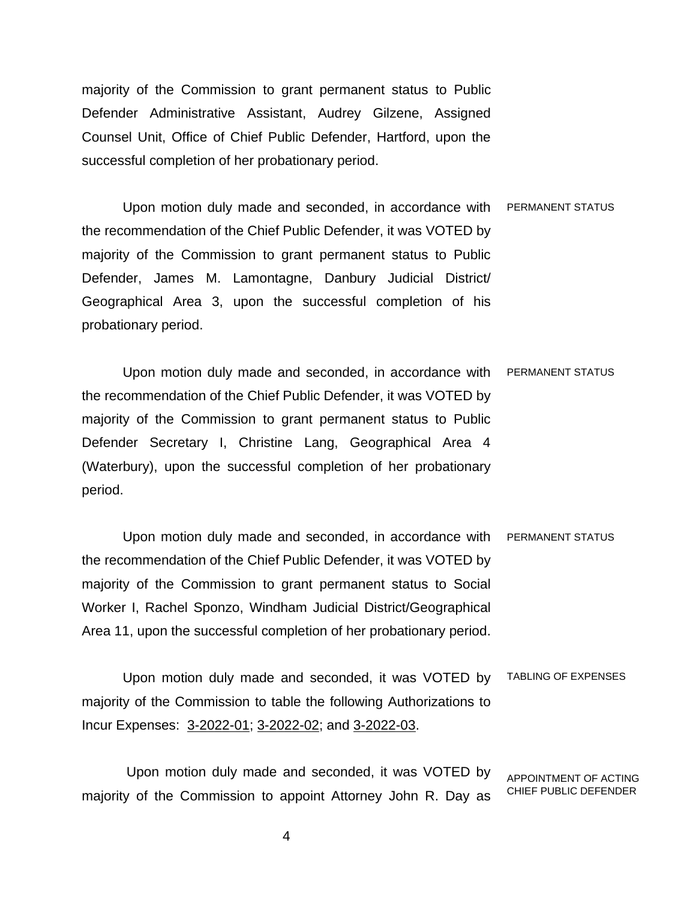majority of the Commission to grant permanent status to Public Defender Administrative Assistant, Audrey Gilzene, Assigned Counsel Unit, Office of Chief Public Defender, Hartford, upon the successful completion of her probationary period.

Upon motion duly made and seconded, in accordance with the recommendation of the Chief Public Defender, it was VOTED by majority of the Commission to grant permanent status to Public Defender, James M. Lamontagne, Danbury Judicial District/ Geographical Area 3, upon the successful completion of his probationary period. PERMANENT STATUS

Upon motion duly made and seconded, in accordance with PERMANENT STATUS the recommendation of the Chief Public Defender, it was VOTED by majority of the Commission to grant permanent status to Public Defender Secretary I, Christine Lang, Geographical Area 4 (Waterbury), upon the successful completion of her probationary period.

Upon motion duly made and seconded, in accordance with PERMANENT STATUS the recommendation of the Chief Public Defender, it was VOTED by majority of the Commission to grant permanent status to Social Worker I, Rachel Sponzo, Windham Judicial District/Geographical Area 11, upon the successful completion of her probationary period.

Upon motion duly made and seconded, it was VOTED by majority of the Commission to table the following Authorizations to Incur Expenses: 3-2022-01; 3-2022-02; and 3-2022-03. TABLING OF EXPENSES

Upon motion duly made and seconded, it was VOTED by majority of the Commission to appoint Attorney John R. Day as APPOINTMENT OF ACTING CHIEF PUBLIC DEFENDER